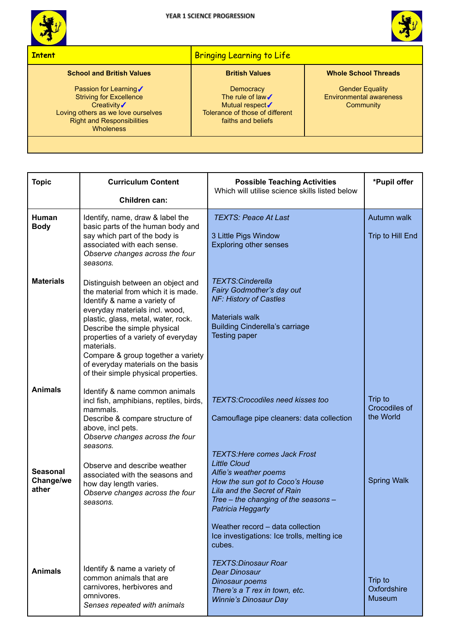



## **Intent** Bringing Learning to Life **School and British Values** Passion for Learning√ Striving for Excellence Creativity√ Loving others as we love ourselves Right and Responsibilities **Wholeness British Values Democracy** The rule of law√ Mutual respect√ Tolerance of those of different faiths and beliefs **Whole School Threads** Gender Equality Environmental awareness **Community**

| <b>Topic</b>                          | <b>Curriculum Content</b><br>Children can:                                                                                                                                                                                                                                                                                                                                                 | <b>Possible Teaching Activities</b><br>Which will utilise science skills listed below                                                                                                                                              | *Pupil offer                            |  |
|---------------------------------------|--------------------------------------------------------------------------------------------------------------------------------------------------------------------------------------------------------------------------------------------------------------------------------------------------------------------------------------------------------------------------------------------|------------------------------------------------------------------------------------------------------------------------------------------------------------------------------------------------------------------------------------|-----------------------------------------|--|
| Human<br><b>Body</b>                  | Identify, name, draw & label the<br>basic parts of the human body and<br>say which part of the body is<br>associated with each sense.<br>Observe changes across the four<br>seasons.                                                                                                                                                                                                       | <b>TEXTS: Peace At Last</b><br>3 Little Pigs Window<br><b>Exploring other senses</b>                                                                                                                                               | Autumn walk<br>Trip to Hill End         |  |
| <b>Materials</b>                      | Distinguish between an object and<br>the material from which it is made.<br>Identify & name a variety of<br>everyday materials incl. wood,<br>plastic, glass, metal, water, rock.<br>Describe the simple physical<br>properties of a variety of everyday<br>materials.<br>Compare & group together a variety<br>of everyday materials on the basis<br>of their simple physical properties. | <b>TEXTS:Cinderella</b><br>Fairy Godmother's day out<br><b>NF: History of Castles</b><br><b>Materials walk</b><br><b>Building Cinderella's carriage</b><br><b>Testing paper</b>                                                    |                                         |  |
| <b>Animals</b>                        | Identify & name common animals<br>incl fish, amphibians, reptiles, birds,<br>mammals.<br>Describe & compare structure of<br>above, incl pets.<br>Observe changes across the four                                                                                                                                                                                                           | <b>TEXTS: Crocodiles need kisses too</b><br>Camouflage pipe cleaners: data collection                                                                                                                                              | Trip to<br>Crocodiles of<br>the World   |  |
| <b>Seasonal</b><br>Change/we<br>ather | seasons.<br>Observe and describe weather<br>associated with the seasons and<br>how day length varies.<br>Observe changes across the four<br>seasons.                                                                                                                                                                                                                                       | <b>TEXTS: Here comes Jack Frost</b><br><b>Little Cloud</b><br>Alfie's weather poems<br>How the sun got to Coco's House<br>Lila and the Secret of Rain<br>Tree - the changing of the seasons -<br>Patricia Heggarty                 | <b>Spring Walk</b>                      |  |
| <b>Animals</b>                        | Identify & name a variety of<br>common animals that are<br>carnivores, herbivores and<br>omnivores.<br>Senses repeated with animals                                                                                                                                                                                                                                                        | Weather record - data collection<br>Ice investigations: Ice trolls, melting ice<br>cubes.<br><b>TEXTS:Dinosaur Roar</b><br><b>Dear Dinosaur</b><br>Dinosaur poems<br>There's a T rex in town, etc.<br><b>Winnie's Dinosaur Day</b> | Trip to<br>Oxfordshire<br><b>Museum</b> |  |